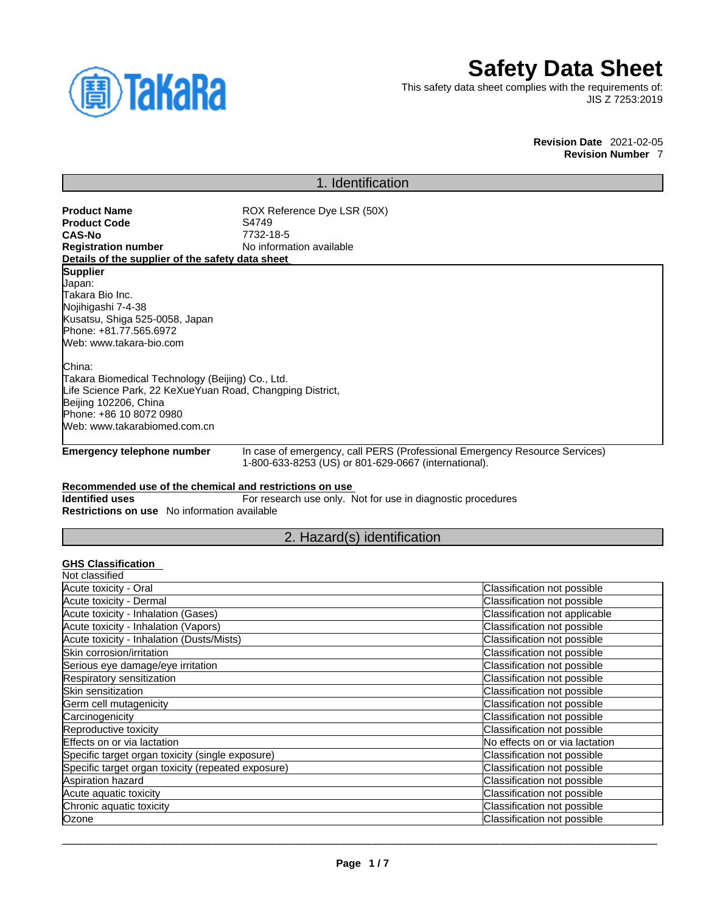

# **Safety Data Sheet**

This safety data sheet complies with the requirements of: JIS Z 7253:2019

> **Revision Date** 2021-02-05 **Revision Number** 7

# 1. Identification

**Product Name** ROX Reference Dye LSR (50X)<br> **Product Code** S4749 **CAS-No** 7732-18-5 **No information available** 

# **Details of the supplier of the safety data sheet**

**Product Code**<br>CAS-No

**Supplier** Japan: Takara Bio Inc. Nojihigashi 7-4-38 Kusatsu, Shiga 525-0058, Japan Phone: +81.77.565.6972 Web: www.takara-bio.com

China:

Takara Biomedical Technology (Beijing) Co., Ltd. Life Science Park, 22 KeXueYuan Road, Changping District, Beijing 102206, China Phone: +86 10 8072 0980 Web: www.takarabiomed.com.cn

**Emergency telephone number** In case of emergency, call PERS (Professional Emergency Resource Services) 1-800-633-8253 (US) or 801-629-0667 (international).

### **Recommended use of the chemical and restrictions on use**

**Identified uses** For research use only. Not for use in diagnostic procedures **Restrictions on use** No information available

# 2. Hazard(s) identification

## **GHS Classification**

| Not classified                                     |                                |
|----------------------------------------------------|--------------------------------|
| Acute toxicity - Oral                              | Classification not possible    |
| Acute toxicity - Dermal                            | Classification not possible    |
| Acute toxicity - Inhalation (Gases)                | Classification not applicable  |
| Acute toxicity - Inhalation (Vapors)               | Classification not possible    |
| Acute toxicity - Inhalation (Dusts/Mists)          | Classification not possible    |
| Skin corrosion/irritation                          | Classification not possible    |
| Serious eye damage/eye irritation                  | Classification not possible    |
| Respiratory sensitization                          | Classification not possible    |
| Skin sensitization                                 | Classification not possible    |
| Germ cell mutagenicity                             | Classification not possible    |
| Carcinogenicity                                    | Classification not possible    |
| Reproductive toxicity                              | Classification not possible    |
| Effects on or via lactation                        | No effects on or via lactation |
| Specific target organ toxicity (single exposure)   | Classification not possible    |
| Specific target organ toxicity (repeated exposure) | Classification not possible    |
| Aspiration hazard                                  | Classification not possible    |
| Acute aquatic toxicity                             | Classification not possible    |
| Chronic aquatic toxicity                           | Classification not possible    |
| Ozone                                              | Classification not possible    |
|                                                    |                                |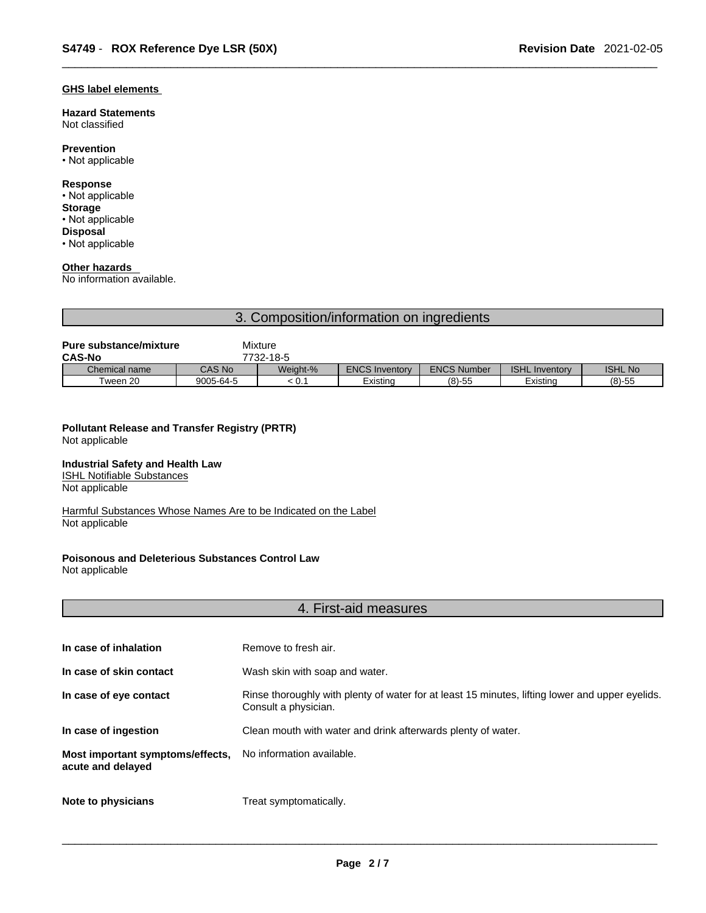## **GHS label elements**

**Hazard Statements**  Not classified

# **Prevention**

• Not applicable

## **Response**

• Not applicable **Storage** • Not applicable **Disposal**

• Not applicable

# **Other hazards**

No information available.

# 3. Composition/information on ingredients

| <b>Pure substance/mixture</b> |           | Mixture  |                       |                    |                       |                |
|-------------------------------|-----------|----------|-----------------------|--------------------|-----------------------|----------------|
| <b>CAS-No</b><br>7732-18-5    |           |          |                       |                    |                       |                |
| Chemical name                 | CAS No    | Weight-% | <b>ENCS Inventory</b> | <b>ENCS Number</b> | <b>ISHL Inventory</b> | <b>ISHL No</b> |
| Tween 20                      | 9005-64-5 | : 0.1    | Existina              | $(8)-55$           | Existina              | $(8)-55$       |

#### **Pollutant Release and Transfer Registry (PRTR)** Not applicable

### **Industrial Safety and Health Law**

ISHL Notifiable Substances Not applicable

Harmful Substances Whose Names Are to be Indicated on the Label Not applicable

# **Poisonous and Deleterious Substances Control Law**

Not applicable

# 4. First-aid measures

| In case of inhalation                                 | Remove to fresh air.                                                                                                    |
|-------------------------------------------------------|-------------------------------------------------------------------------------------------------------------------------|
| In case of skin contact                               | Wash skin with soap and water.                                                                                          |
| In case of eye contact                                | Rinse thoroughly with plenty of water for at least 15 minutes, lifting lower and upper eyelids.<br>Consult a physician. |
| In case of ingestion                                  | Clean mouth with water and drink afterwards plenty of water.                                                            |
| Most important symptoms/effects,<br>acute and delayed | No information available.                                                                                               |
| Note to physicians                                    | Treat symptomatically.                                                                                                  |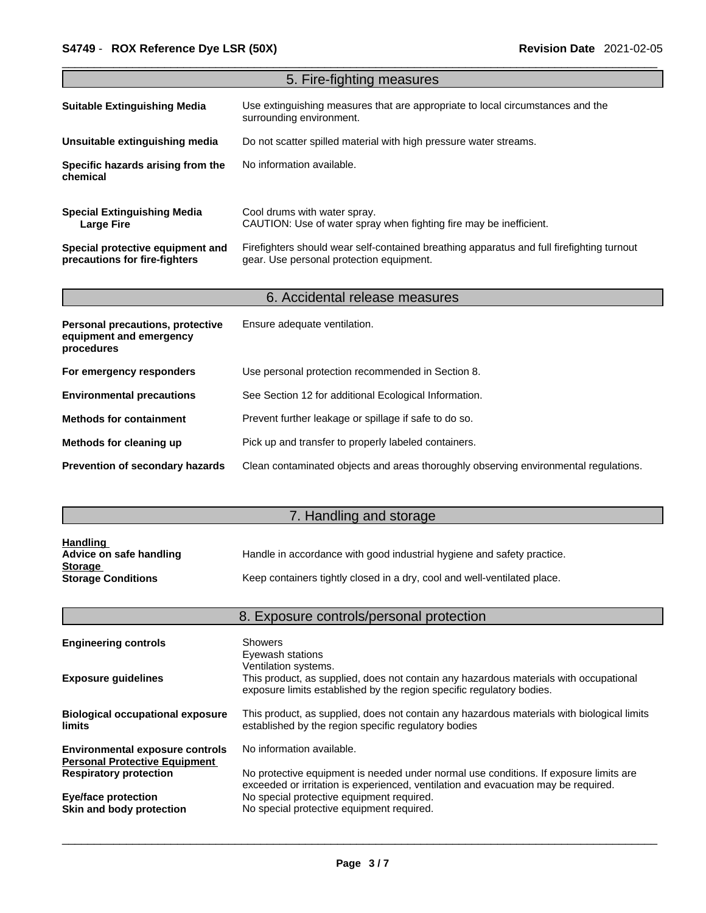|                                                                                  | 5. Fire-fighting measures                                                                                                             |
|----------------------------------------------------------------------------------|---------------------------------------------------------------------------------------------------------------------------------------|
| <b>Suitable Extinguishing Media</b>                                              | Use extinguishing measures that are appropriate to local circumstances and the<br>surrounding environment.                            |
| Unsuitable extinguishing media                                                   | Do not scatter spilled material with high pressure water streams.                                                                     |
| Specific hazards arising from the<br>chemical                                    | No information available.                                                                                                             |
| <b>Special Extinguishing Media</b><br><b>Large Fire</b>                          | Cool drums with water spray.<br>CAUTION: Use of water spray when fighting fire may be inefficient.                                    |
| Special protective equipment and<br>precautions for fire-fighters                | Firefighters should wear self-contained breathing apparatus and full firefighting turnout<br>gear. Use personal protection equipment. |
|                                                                                  | 6. Accidental release measures                                                                                                        |
| <b>Personal precautions, protective</b><br>equipment and emergency<br>procedures | Ensure adequate ventilation.                                                                                                          |
| For emergency responders                                                         | Use personal protection recommended in Section 8.                                                                                     |
| <b>Environmental precautions</b>                                                 | See Section 12 for additional Ecological Information.                                                                                 |
| <b>Methods for containment</b>                                                   | Prevent further leakage or spillage if safe to do so.                                                                                 |
| Methods for cleaning up                                                          | Pick up and transfer to properly labeled containers.                                                                                  |
| <b>Prevention of secondary hazards</b>                                           | Clean contaminated objects and areas thoroughly observing environmental regulations.                                                  |

# 7. Handling and storage

| <b>Handling</b>           |                                                                          |
|---------------------------|--------------------------------------------------------------------------|
| Advice on safe handling   | Handle in accordance with good industrial hygiene and safety practice.   |
| <b>Storage</b>            |                                                                          |
| <b>Storage Conditions</b> | Keep containers tightly closed in a dry, cool and well-ventilated place. |

|                                                                                | 8. Exposure controls/personal protection                                                                                                                                               |
|--------------------------------------------------------------------------------|----------------------------------------------------------------------------------------------------------------------------------------------------------------------------------------|
| <b>Engineering controls</b>                                                    | Showers<br>Eyewash stations                                                                                                                                                            |
| <b>Exposure guidelines</b>                                                     | Ventilation systems.<br>This product, as supplied, does not contain any hazardous materials with occupational<br>exposure limits established by the region specific regulatory bodies. |
| <b>Biological occupational exposure</b><br><b>limits</b>                       | This product, as supplied, does not contain any hazardous materials with biological limits<br>established by the region specific regulatory bodies                                     |
| <b>Environmental exposure controls</b><br><b>Personal Protective Equipment</b> | No information available.                                                                                                                                                              |
| <b>Respiratory protection</b>                                                  | No protective equipment is needed under normal use conditions. If exposure limits are<br>exceeded or irritation is experienced, ventilation and evacuation may be required.            |
| <b>Eye/face protection</b><br>Skin and body protection                         | No special protective equipment required.<br>No special protective equipment required.                                                                                                 |
|                                                                                |                                                                                                                                                                                        |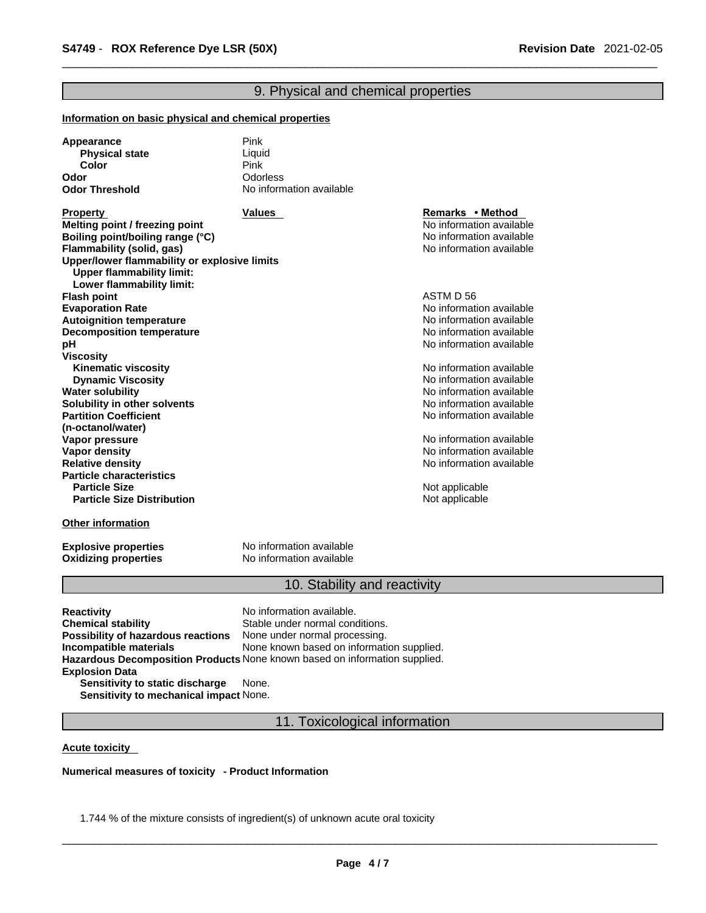# 9. Physical and chemical properties

#### **Information on basic physical and chemical properties**

| Appearance            | Pink                     |
|-----------------------|--------------------------|
| <b>Physical state</b> | Liquid                   |
| Color                 | Pink                     |
| Odor                  | <b>Odorless</b>          |
| <b>Odor Threshold</b> | No information available |

**Property Remarks • Property Remarks • Method Melting point / freezing point**  $\blacksquare$  **Melting point** No information available **Boiling point/boiling range (°C)** and the set of the set of the No information available **Flammability** (solid, gas) and the state of the state of the No information available **Upper/lower flammability or explosive limits Upper flammability limit: Lower flammability limit: Flash point** ASTM D 56 **Evaporation Rate**<br> **Autoignition temperature**<br> **Autoignition temperature**<br> **Autoignition available Autoignition temperature**<br> **Decomposition temperature** Noinformation available<br>
No information available **Decomposition temperature pH pH** *pH* **Viscosity Kinematic viscosity Notified and Server Allen available** Note that Monder available **Dynamic Viscosity No information available** No information available **Water solubility Water solubility Water solubility Water Solubility Water Solubility Water Solubility Water Solubility Water Solubility Water Solubility Water Solubility Water Solub Solubility in other solvents intervalsed notation No information available No** information available **Partition Coefficient (n-octanol/water) Vapor pressure**<br> **Vapor density**<br> **Vapor density**<br> **Vapor density Vapor density**<br> **Vapor density**<br> **Relative density**<br> **Relative density Particle characteristics Particle Size Distribution** Not applicable

#### **Other information**

**Oxidizing properties** 

**Explosive properties**<br> **Oxidizing properties**<br>
No information available

# 10. Stability and reactivity

No information available

**Relative density** No information available

**Not applicable** 

**Reactivity No information available. Chemical stability** Stable under normal conditions. **Possibility of hazardous reactions** None under normal processing. **Incompatible materials** None known based on information supplied. **Hazardous Decomposition Products** None known based on information supplied. **Explosion Data Sensitivity to static discharge** None.

**Sensitivity to mechanical impact** None.

11. Toxicological information

#### **Acute toxicity**

**Numerical measures of toxicity - Product Information**

1.744 % of the mixture consists of ingredient(s) of unknown acute oral toxicity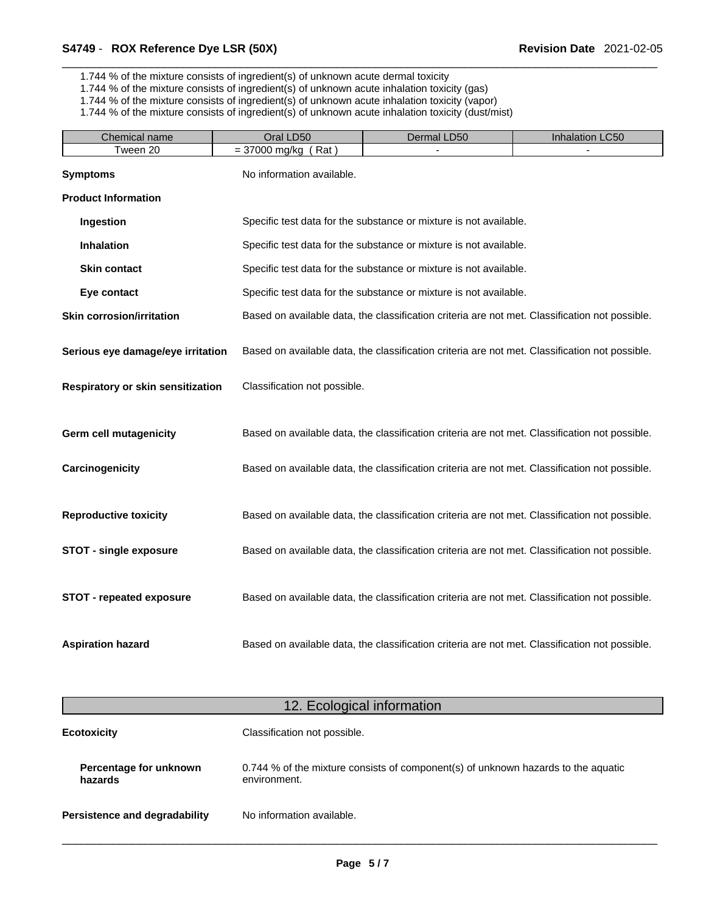1.744 % of the mixture consists of ingredient(s) of unknown acute dermal toxicity

- 1.744 % of the mixture consists of ingredient(s) of unknown acute inhalation toxicity (gas)
- 1.744 % of the mixture consists of ingredient(s) of unknown acute inhalation toxicity (vapor)

1.744 % of the mixture consists of ingredient(s) of unknown acute inhalation toxicity (dust/mist)

| Chemical name                     | Oral LD50                    | Dermal LD50                                                                                    | Inhalation LC50 |
|-----------------------------------|------------------------------|------------------------------------------------------------------------------------------------|-----------------|
| Tween 20                          | $= 37000$ mg/kg (Rat)        |                                                                                                |                 |
| <b>Symptoms</b>                   | No information available.    |                                                                                                |                 |
| <b>Product Information</b>        |                              |                                                                                                |                 |
| Ingestion                         |                              | Specific test data for the substance or mixture is not available.                              |                 |
| Inhalation                        |                              | Specific test data for the substance or mixture is not available.                              |                 |
| <b>Skin contact</b>               |                              | Specific test data for the substance or mixture is not available.                              |                 |
| Eye contact                       |                              | Specific test data for the substance or mixture is not available.                              |                 |
| <b>Skin corrosion/irritation</b>  |                              | Based on available data, the classification criteria are not met. Classification not possible. |                 |
| Serious eye damage/eye irritation |                              | Based on available data, the classification criteria are not met. Classification not possible. |                 |
| Respiratory or skin sensitization | Classification not possible. |                                                                                                |                 |
| <b>Germ cell mutagenicity</b>     |                              | Based on available data, the classification criteria are not met. Classification not possible. |                 |
| Carcinogenicity                   |                              | Based on available data, the classification criteria are not met. Classification not possible. |                 |
| <b>Reproductive toxicity</b>      |                              | Based on available data, the classification criteria are not met. Classification not possible. |                 |
| <b>STOT - single exposure</b>     |                              | Based on available data, the classification criteria are not met. Classification not possible. |                 |
| <b>STOT - repeated exposure</b>   |                              | Based on available data, the classification criteria are not met. Classification not possible. |                 |
| <b>Aspiration hazard</b>          |                              | Based on available data, the classification criteria are not met. Classification not possible. |                 |
|                                   |                              | 12. Ecological information                                                                     |                 |
| <b>Ecotoxicity</b>                | Classification not possible. |                                                                                                |                 |
|                                   |                              |                                                                                                |                 |
| Percentage for unknown<br>hazards | environment.                 | 0.744 % of the mixture consists of component(s) of unknown hazards to the aquatic              |                 |

**Persistence and degradability** No information available.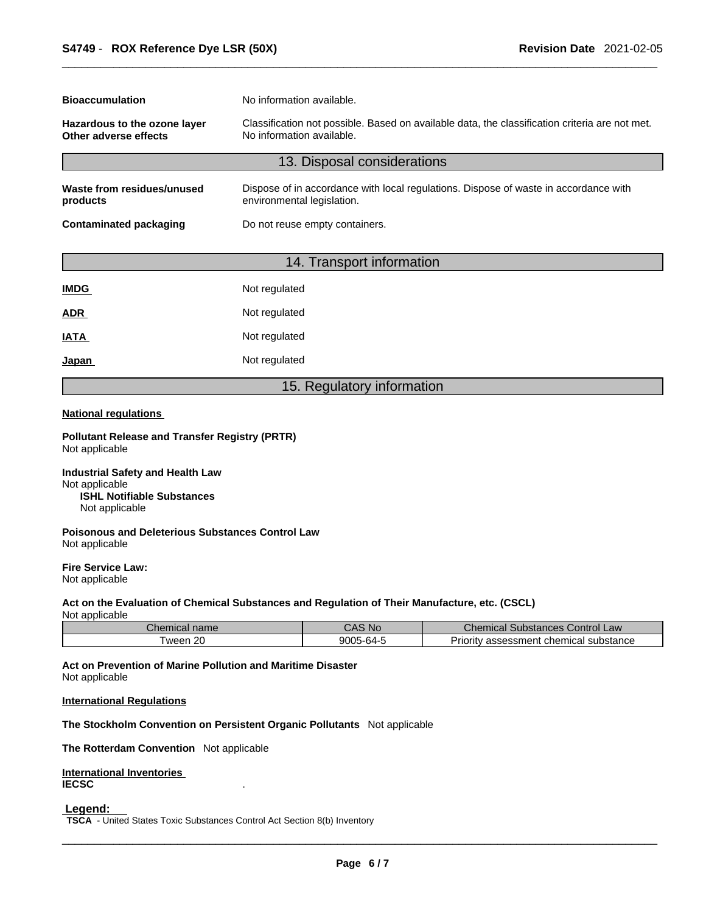| <b>Bioaccumulation</b>                                | No information available.                                                                                                   |  |  |
|-------------------------------------------------------|-----------------------------------------------------------------------------------------------------------------------------|--|--|
| Hazardous to the ozone layer<br>Other adverse effects | Classification not possible. Based on available data, the classification criteria are not met.<br>No information available. |  |  |
|                                                       | 13. Disposal considerations                                                                                                 |  |  |
| Waste from residues/unused<br>products                | Dispose of in accordance with local regulations. Dispose of waste in accordance with<br>environmental legislation.          |  |  |
| <b>Contaminated packaging</b>                         | Do not reuse empty containers.                                                                                              |  |  |

# 14. Transport information

| <b>IMDG</b> | Not regulated |
|-------------|---------------|
| <b>ADR</b>  | Not regulated |
| IATA        | Not regulated |
| Japan       | Not regulated |

# 15. Regulatory information

## **National regulations**

**Pollutant Release and Transfer Registry (PRTR)** Not applicable

**Industrial Safety and Health Law** Not applicable **ISHL Notifiable Substances** Not applicable

**Poisonous and Deleterious Substances Control Law** Not applicable

**Fire Service Law:** Not applicable

# **Act on the Evaluation of Chemical Substances and Regulation of Their Manufacture, etc. (CSCL)**

Not applicable

| Chemical name  | $\bigcirc$ AS No $\bigcirc$ | <b>Chemical Substances Control Law</b>      |
|----------------|-----------------------------|---------------------------------------------|
| ı 20<br>' ween | $9005 - 64 - 5$             | v assessment chemical substance<br>Priority |

**Act on Prevention of Marine Pollution and Maritime Disaster** Not applicable

### **International Regulations**

**The Stockholm Convention on Persistent Organic Pollutants** Not applicable

**The Rotterdam Convention** Not applicable

**International Inventories IECSC** .

 **Legend:** 

**TSCA** - United States Toxic Substances Control Act Section 8(b) Inventory